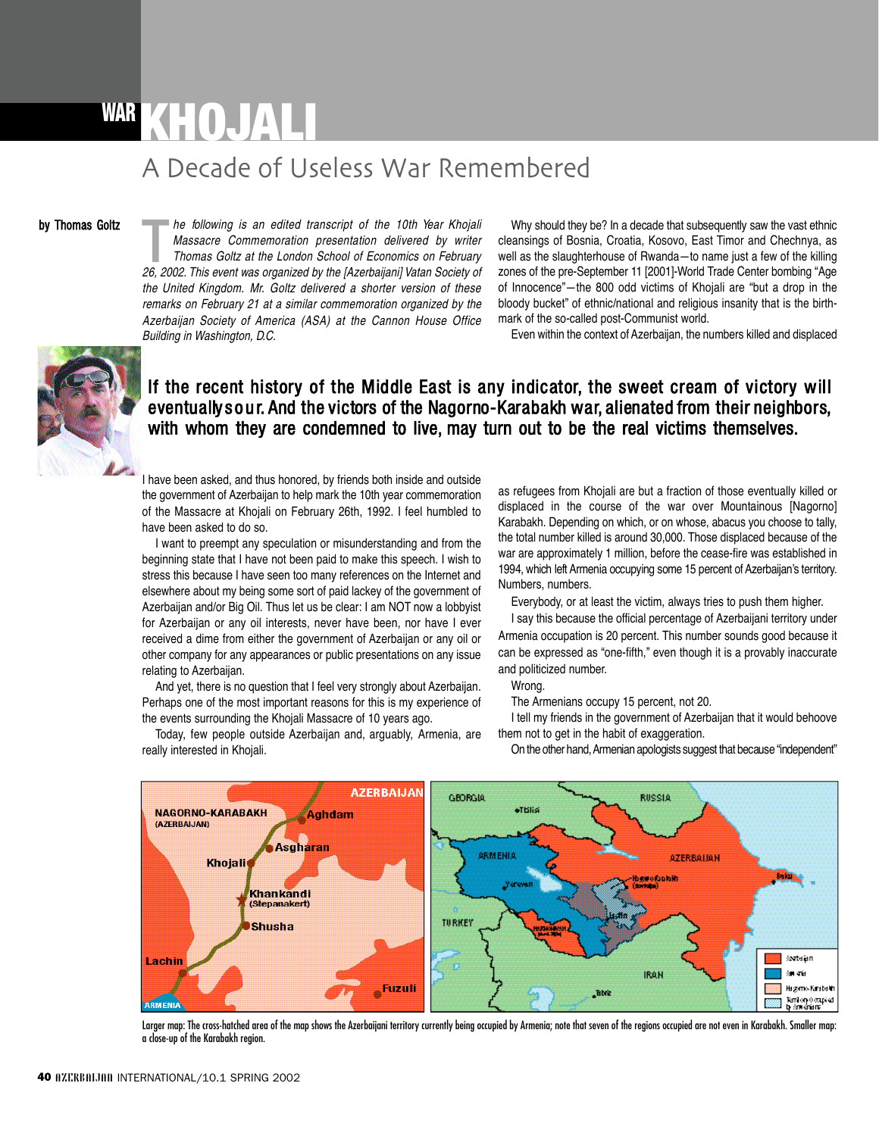## WAR **KHOJALI** A
Decade
of
Useless
War
Remembered

## by Thomas Goltz

**26, 2002.** The following is an edited transcript of the 10th Year Khojal Massacre Commemoration presentation delivered by writer Thomas Goltz at the London School of Economics on February 26, 2002. This event was organize *he following is an edited transcript of the 10th Year Khojali Massacre Commemoration presentation delivered by writer Thomas Goltz at the London School of Economics on February the United Kingdom. Mr. Goltz delivered a shorter version of these remarks on February 21 at a similar commemoration organized by the Azerbaijan Society of America (ASA) at the Cannon House Office Building in Washington, D.C.*

Why should they be? In a decade that subsequently saw the vast ethnic cleansings of Bosnia, Croatia, Kosovo, East Timor and Chechnya, as well as the slaughterhouse of Rwanda—to name just a few of the killing zones of the pre-September 11 [2001]-World Trade Center bombing "Age of Innocence"—the 800 odd victims of Khojali are "but a drop in the bloody bucket" of ethnic/national and religious insanity that is the birthmark of the so-called post-Communist world.

Even within the context of Azerbaijan, the numbers killed and displaced



## If the recent history of the Middle East is any indicator, the sweet cream of victory will eventually sour. And the victors of the Nagorno-Karabakh war, alienated from their neighbors, with whom they are condemned to live, may turn out to be the real victims themselves.

I have been asked, and thus honored, by friends both inside and outside the government of Azerbaijan to help mark the 10th year commemoration of the Massacre at Khojali on February 26th, 1992. I feel humbled to have been asked to do so.

I want to preempt any speculation or misunderstanding and from the beginning state that I have not been paid to make this speech. I wish to stress this because I have seen too many references on the Internet and elsewhere about my being some sort of paid lackey of the government of Azerbaijan and/or Big Oil. Thus let us be clear: I am NOT now a lobbyist for Azerbaijan or any oil interests, never have been, nor have I ever received a dime from either the government of Azerbaijan or any oil or other company for any appearances or public presentations on any issue relating to Azerbaijan.

And yet, there is no question that I feel very strongly about Azerbaijan. Perhaps one of the most important reasons for this is my experience of the events surrounding the Khojali Massacre of 10 years ago.

Today, few people outside Azerbaijan and, arguably, Armenia, are really interested in Khojali.

as refugees from Khojali are but a fraction of those eventually killed or displaced in the course of the war over Mountainous [Nagorno] Karabakh. Depending on which, or on whose, abacus you choose to tally, the total number killed is around 30,000. Those displaced because of the war are approximately 1 million, before the cease-fire was established in 1994, which left Armenia occupying some 15 percent of Azerbaijan's territory. Numbers, numbers.

Everybody, or at least the victim, always tries to push them higher.

I say this because the official percentage of Azerbaijani territory under Armenia occupation is 20 percent. This number sounds good because it can be expressed as "one-fifth," even though it is a provably inaccurate and politicized number.

## Wrong.

The Armenians occupy 15 percent, not 20.

I tell my friends in the government of Azerbaijan that it would behoove them not to get in the habit of exaggeration. On the other hand, Armenian apologists suggest that because "independent"



Larger map: The cross-hatched area of the map shows the Azerbaijani territory currently being occupied by Armenia; note that seven of the regions occupied are not even in Karabakh. Smaller map: a close-up of the Karabakh region.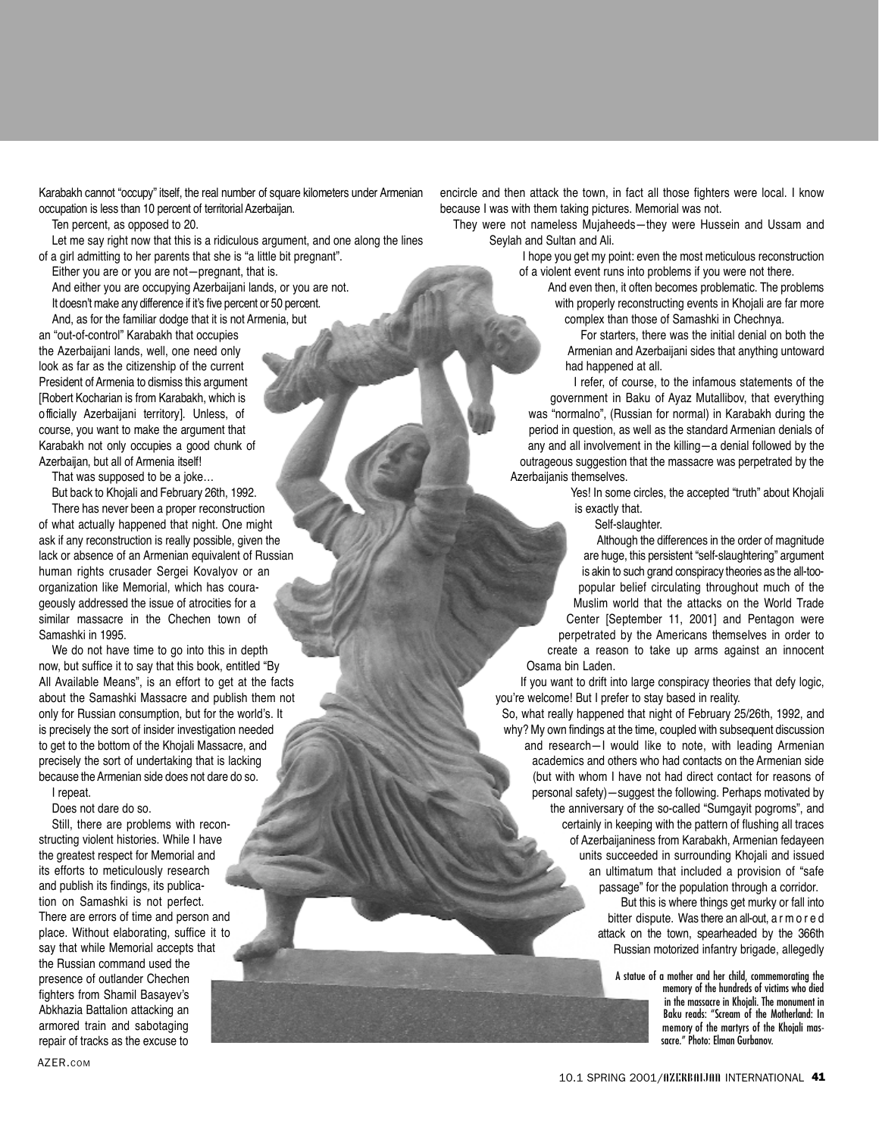Karabakh cannot "occupy" itself, the real number of square kilometers under Armenian occupation is less than 10 percent of territorial Azerbaijan.

Ten percent, as opposed to 20.

Let me say right now that this is a ridiculous argument, and one along the lines of a girl admitting to her parents that she is "a little bit pregnant".

Either you are or you are not—pregnant, that is. And either you are occupying Azerbaijani lands, or you are not. It doesn't make any difference if it's five percent or 50 percent.

And, as for the familiar dodge that it is not Armenia, but

an "out-of-control" Karabakh that occupies the Azerbaijani lands, well, one need only look as far as the citizenship of the current President of Armenia to dismiss this argument [Robert Kocharian is from Karabakh, which is o fficially Azerbaijani territory]. Unless, of course, you want to make the argument that Karabakh not only occupies a good chunk of Azerbaijan, but all of Armenia itself!

That was supposed to be a joke…

But back to Khojali and February 26th, 1992.

There has never been a proper reconstruction of what actually happened that night. One might ask if any reconstruction is really possible, given the lack or absence of an Armenian equivalent of Russian human rights crusader Sergei Kovalyov or an organization like Memorial, which has courageously addressed the issue of atrocities for a similar massacre in the Chechen town of Samashki in 1995.

We do not have time to go into this in depth now, but suffice it to say that this book, entitled "By All Available Means", is an effort to get at the facts about the Samashki Massacre and publish them not only for Russian consumption, but for the world's. It is precisely the sort of insider investigation needed to get to the bottom of the Khojali Massacre, and precisely the sort of undertaking that is lacking because theArmenian side does not dare do so. I repeat.

Does not dare do so.

Still, there are problems with reconstructing violent histories. While I have the greatest respect for Memorial and its efforts to meticulously research and publish its findings, its publication on Samashki is not perfect. There are errors of time and person and place. Without elaborating, suffice it to say that while Memorial accepts that the Russian command used the presence of outlander Chechen fighters from Shamil Basayev's Abkhazia Battalion attacking an armored train and sabotaging repair of tracks as the excuse to

encircle and then attack the town, in fact all those fighters were local. I know because I was with them taking pictures. Memorial was not.

They were not nameless Mujaheeds—they were Hussein and Ussam and Seylah and Sultan and Ali.

I hope you get my point: even the most meticulous reconstruction of a violent event runs into problems if you were not there.

> And even then, it often becomes problematic. The problems with properly reconstructing events in Khojali are far more complex than those of Samashki in Chechnya.

For starters, there was the initial denial on both the Armenian and Azerbaijani sides that anything untoward had happened at all.

I refer, of course, to the infamous statements of the government in Baku of Ayaz Mutallibov, that everything was "normalno". (Russian for normal) in Karabakh during the period in question, as well as the standard Armenian denials of any and all involvement in the killing—a denial followed by the outrageous suggestion that the massacre was perpetrated by the Azerbaijanis themselves.

Yes! In some circles, the accepted "truth" about Khojali is exactly that.

Self-slaughter.

Although the differences in the order of magnitude are huge, this persistent "self-slaughtering" argument is akin to such grand conspiracy theories as the all-toopopular belief circulating throughout much of the Muslim world that the attacks on the World Trade Center [September 11, 2001] and Pentagon were perpetrated by the Americans themselves in order to create a reason to take up arms against an innocent Osama bin Laden.

If you want to drift into large conspiracy theories that defy logic, you're welcome! But I prefer to stay based in reality.

So, what really happened that night of February 25/26th, 1992, and why? My own findings at the time, coupled with subsequent discussion and research-I would like to note, with leading Armenian academics and others who had contacts on the Armenian side (but with whom I have not had direct contact for reasons of personal safety)—suggest the following. Perhaps motivated by the anniversary of the so-called "Sumgayit pogroms", and certainly in keeping with the pattern of flushing all traces of Azerbaijaniness from Karabakh, Armenian fedayeen units succeeded in surrounding Khojali and issued an ultimatum that included a provision of "safe passage" for the population through a corridor.

But this is where things get murky or fall into bitter dispute. Was there an all-out, a r m o r e d attack on the town, spearheaded by the 366th Russian motorized infantry brigade, allegedly

A statue of a mother and her child, commemorating the memory of the hundreds of victims who died in the massacre in Khojali. The monument in Baku reads: "Scream of the Motherland: In memory of the martyrs of the Khoiali massacre." Photo: Elman Gurbanov.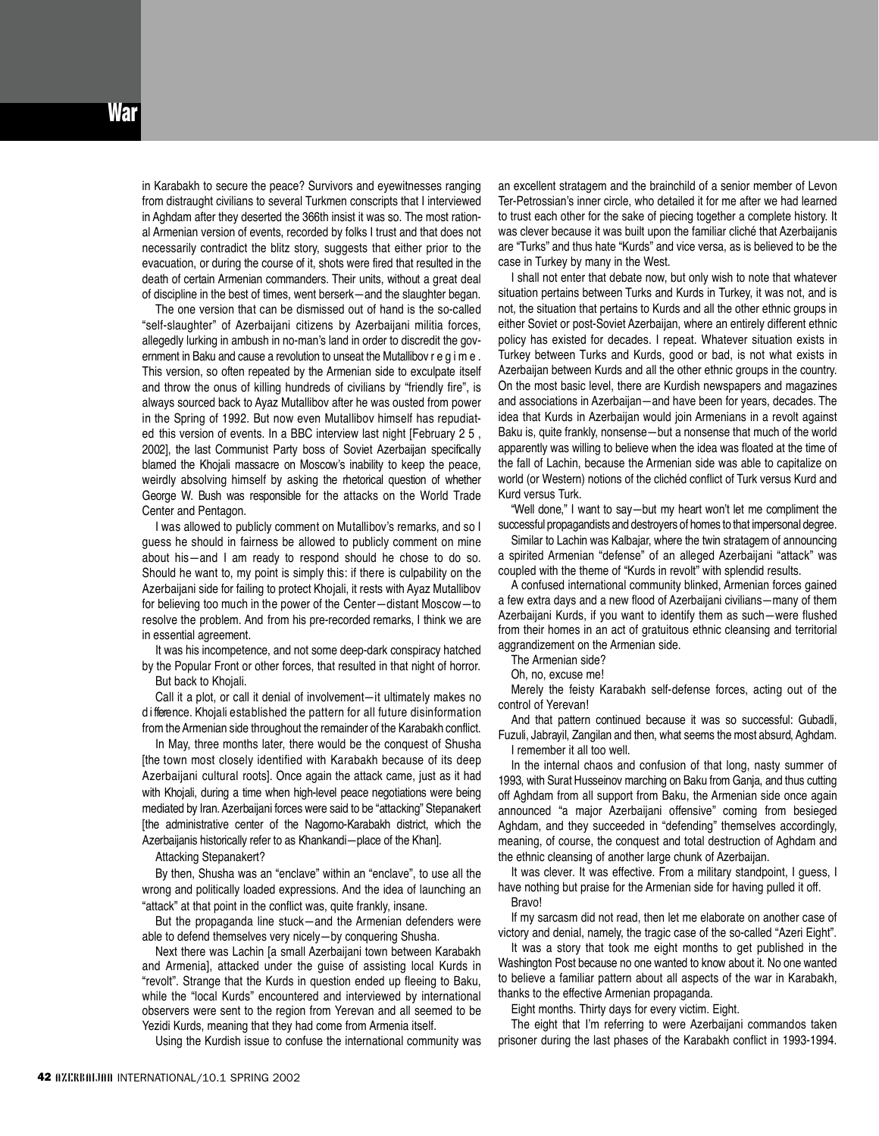in Karabakh to secure the peace? Survivors and eyewitnesses ranging from distraught civilians to several Turkmen conscripts that I interviewed in Aghdam after they deserted the 366th insist it was so. The most rational Armenian version of events, recorded by folks I trust and that does not necessarily contradict the blitz story, suggests that either prior to the evacuation, or during the course of it, shots were fired that resulted in the death of certain Armenian commanders. Their units, without a great deal of discipline in the best of times, went berserk—and the slaughter began.

The one version that can be dismissed out of hand is the so-called "self-slaughter" of Azerbaijani citizens by Azerbaijani militia forces, allegedly lurking in ambush in no-man's land in order to discredit the government in Baku and cause a revolution to unseat the Mutallibov r e q i m e . This version, so often repeated by the Armenian side to exculpate itself and throw the onus of killing hundreds of civilians by "friendly fire", is always sourced back to Ayaz Mutallibov after he was ousted from power in the Spring of 1992. But now even Mutallibov himself has repudiated this version of events. In a BBC interview last night [February 2 5, 2002], the last Communist Party boss of Soviet Azerbaijan specifically blamed the Khojali massacre on Moscow's inability to keep the peace, weirdly absolving himself by asking the rhetorical question of whether George W. Bush was responsible for the attacks on the World Trade Center and Pentagon.

I was allowed to publicly comment on Mutallibov's remarks, and so I guess he should in fairness be allowed to publicly comment on mine about his—and I am ready to respond should he chose to do so. Should he want to, my point is simply this: if there is culpability on the Azerbaijani side for failing to protect Khojali, it rests with Ayaz Mutallibov for believing too much in the power of the Center—distant Moscow—to resolve the problem. And from his pre-recorded remarks, I think we are in essential agreement.

It was his incompetence, and not some deep-dark conspiracy hatched by the Popular Front or other forces, that resulted in that night of horror. But back to Khojali.

Call it a plot, or call it denial of involvement—it ultimately makes no d i fference. Khojali established the pattern for all future disinformation from the Armenian side throughout the remainder of the Karabakh conflict.

In May, three months later, there would be the conquest of Shusha [the town most closely identified with Karabakh because of its deep Azerbaijani cultural roots]. Once again the attack came, just as it had with Khojali, during a time when high-level peace negotiations were being mediated by Iran.Azerbaijani forces were said to be "attacking" Stepanakert [the administrative center of the Nagorno-Karabakh district, which the Azerbaijanis historically refer to as Khankandi—place of the Khan].

Attacking Stepanakert?

By then, Shusha was an "enclave" within an "enclave", to use all the wrong and politically loaded expressions. And the idea of launching an "attack" at that point in the conflict was, quite frankly, insane.

But the propaganda line stuck—and the Armenian defenders were able to defend themselves very nicely—by conquering Shusha.

Next there was Lachin [a small Azerbaijani town between Karabakh and Armenia], attacked under the guise of assisting local Kurds in "revolt". Strange that the Kurds in question ended up fleeing to Baku, while the "local Kurds" encountered and interviewed by international observers were sent to the region from Yerevan and all seemed to be Yezidi Kurds, meaning that they had come from Armenia itself.

Using the Kurdish issue to confuse the international community was

an excellent stratagem and the brainchild of a senior member of Levon Ter-Petrossian's inner circle, who detailed it for me after we had learned to trust each other for the sake of piecing together a complete history. It was clever because it was built upon the familiar cliché that Azerbaijanis are "Turks" and thus hate "Kurds" and vice versa, as is believed to be the case in Turkey by many in the West.

I shall not enter that debate now, but only wish to note that whatever situation pertains between Turks and Kurds in Turkey, it was not, and is not, the situation that pertains to Kurds and all the other ethnic groups in either Soviet or post-Soviet Azerbaijan, where an entirely different ethnic policy has existed for decades. I repeat. Whatever situation exists in Turkey between Turks and Kurds, good or bad, is not what exists in Azerbaijan between Kurds and all the other ethnic groups in the country. On the most basic level, there are Kurdish newspapers and magazines and associations in Azerbaijan—and have been for years, decades. The idea that Kurds in Azerbaijan would join Armenians in a revolt against Baku is, quite frankly, nonsense—but a nonsense that much of the world apparently was willing to believe when the idea was floated at the time of the fall of Lachin, because the Armenian side was able to capitalize on world (or Western) notions of the clichéd conflict of Turk versus Kurd and Kurd versus Turk.

" Well done," I want to say—but my heart won't let me compliment the successful propagandists and destroyers of homes to that impersonal degree.

Similar to Lachin was Kalbajar, where the twin stratagem of announcing a spirited Armenian "defense" of an alleged Azerbaijani "attack" was coupled with the theme of "Kurds in revolt" with splendid results.

A confused international community blinked, Armenian forces gained a few extra days and a new flood of Azerbaijani civilians—many of them Azerbaijani Kurds, if you want to identify them as such—were flushed from their homes in an act of gratuitous ethnic cleansing and territorial aggrandizement on the Armenian side.

The Armenian side?

Oh, no, excuse me!

Merely the feisty Karabakh self-defense forces, acting out of the control of Yerevan!

And that pattern continued because it was so successful: Gubadli, Fuzuli, Jabrayil, Zangilan and then, what seems the most absurd, Aghdam. I remember it all too well.

In the internal chaos and confusion of that long, nasty summer of 1993, with Surat Husseinov marching on Baku from Ganja, and thus cutting off Aghdam from all support from Baku, the Armenian side once again announced "a major Azerbaijani offensive" coming from besieged Aghdam, and they succeeded in "defending" themselves accordingly, meaning, of course, the conquest and total destruction of Aghdam and the ethnic cleansing of another large chunk of Azerbaijan.

It was clever. It was effective. From a military standpoint, I guess, I have nothing but praise for the Armenian side for having pulled it off.

Bravo!

If my sarcasm did not read, then let me elaborate on another case of victory and denial, namely, the tragic case of the so-called "Azeri Eight".

It was a story that took me eight months to get published in the Washington Post because no one wanted to know about it. No one wanted to believe a familiar pattern about all aspects of the war in Karabakh, thanks to the effective Armenian propaganda.

Eight months. Thirty days for every victim. Eight.

The eight that I'm referring to were Azerbaijani commandos taken prisoner during the last phases of the Karabakh conflict in 1993-1994.